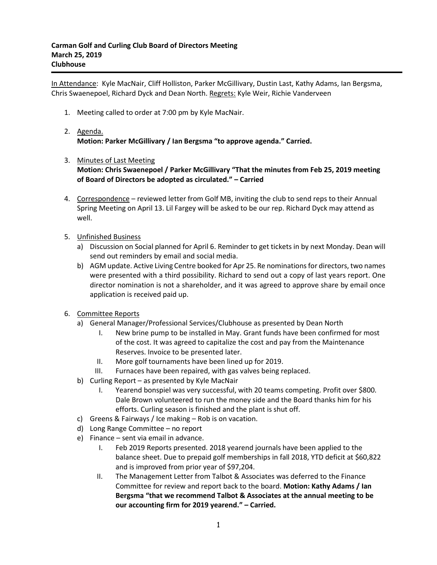In Attendance: Kyle MacNair, Cliff Holliston, Parker McGillivary, Dustin Last, Kathy Adams, Ian Bergsma, Chris Swaenepoel, Richard Dyck and Dean North. Regrets: Kyle Weir, Richie Vanderveen

- 1. Meeting called to order at 7:00 pm by Kyle MacNair.
- 2. Agenda. **Motion: Parker McGillivary / Ian Bergsma "to approve agenda." Carried.**
- 3. Minutes of Last Meeting **Motion: Chris Swaenepoel / Parker McGillivary "That the minutes from Feb 25, 2019 meeting of Board of Directors be adopted as circulated." – Carried**
- 4. Correspondence reviewed letter from Golf MB, inviting the club to send reps to their Annual Spring Meeting on April 13. Lil Fargey will be asked to be our rep. Richard Dyck may attend as well.
- 5. Unfinished Business
	- a) Discussion on Social planned for April 6. Reminder to get tickets in by next Monday. Dean will send out reminders by email and social media.
	- b) AGM update. Active Living Centre booked for Apr 25. Re nominations for directors, two names were presented with a third possibility. Richard to send out a copy of last years report. One director nomination is not a shareholder, and it was agreed to approve share by email once application is received paid up.
- 6. Committee Reports
	- a) General Manager/Professional Services/Clubhouse as presented by Dean North
		- I. New brine pump to be installed in May. Grant funds have been confirmed for most of the cost. It was agreed to capitalize the cost and pay from the Maintenance Reserves. Invoice to be presented later.
		- II. More golf tournaments have been lined up for 2019.
		- III. Furnaces have been repaired, with gas valves being replaced.
	- b) Curling Report as presented by Kyle MacNair
		- I. Yearend bonspiel was very successful, with 20 teams competing. Profit over \$800. Dale Brown volunteered to run the money side and the Board thanks him for his efforts. Curling season is finished and the plant is shut off.
	- c) Greens & Fairways / Ice making Rob is on vacation.
	- d) Long Range Committee no report
	- e) Finance sent via email in advance.
		- I. Feb 2019 Reports presented. 2018 yearend journals have been applied to the balance sheet. Due to prepaid golf memberships in fall 2018, YTD deficit at \$60,822 and is improved from prior year of \$97,204.
		- II. The Management Letter from Talbot & Associates was deferred to the Finance Committee for review and report back to the board. **Motion: Kathy Adams / Ian Bergsma "that we recommend Talbot & Associates at the annual meeting to be our accounting firm for 2019 yearend." – Carried.**